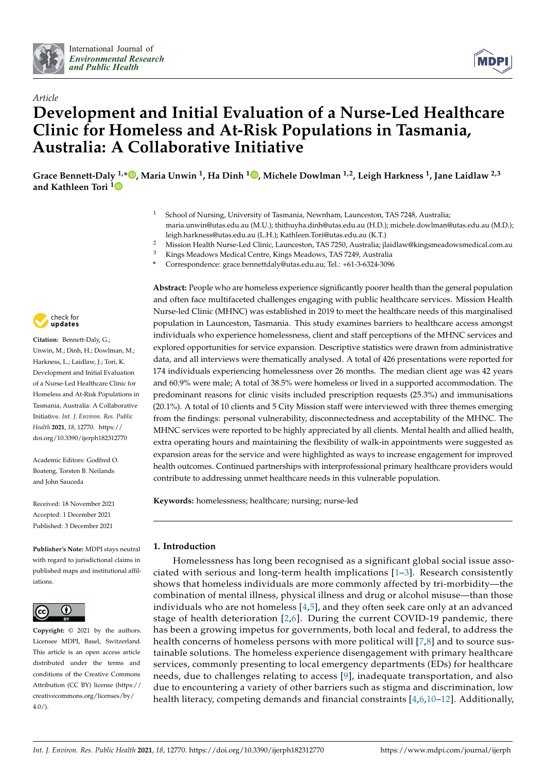



# *Article* **Development and Initial Evaluation of a Nurse-Led Healthcare Clinic for Homeless and At-Risk Populations in Tasmania, Australia: A Collaborative Initiative**

**Grace Bennett-Daly 1,\* [,](https://orcid.org/0000-0003-2243-7716) Maria Unwin <sup>1</sup> , Ha Dinh <sup>1</sup> [,](https://orcid.org/0000-0003-4485-0421) Michele Dowlman 1,2, Leigh Harkness <sup>1</sup> , Jane Laidlaw 2,3 and Kathleen Tori [1](https://orcid.org/0000-0003-4026-6842)**

- School of Nursing, University of Tasmania, Newnham, Launceston, TAS 7248, Australia; maria.unwin@utas.edu.au (M.U.); thithuyha.dinh@utas.edu.au (H.D.); michele.dowlman@utas.edu.au (M.D.); leigh.harkness@utas.edu.au (L.H.); Kathleen.Tori@utas.edu.au (K.T.)
- <sup>2</sup> Mission Health Nurse-Led Clinic, Launceston, TAS 7250, Australia; jlaidlaw@kingsmeadowsmedical.com.au<br><sup>3</sup> Kings Meadows Medical Curtus Kings Meadows TAS 7240, Australia
- <sup>3</sup> Kings Meadows Medical Centre, Kings Meadows, TAS 7249, Australia
- **\*** Correspondence: grace.bennettdaly@utas.edu.au; Tel.: +61-3-6324-3096

check for **-**

**Citation:** Bennett-Daly, G.; Unwin, M.; Dinh, H.; Dowlman, M.; Harkness, L.; Laidlaw, J.; Tori, K. Development and Initial Evaluation of a Nurse-Led Healthcare Clinic for Homeless and At-Risk Populations in Tasmania, Australia: A Collaborative Initiative. *Int. J. Environ. Res. Public Health* **2021**, *18*, 12770. [https://](https://doi.org/10.3390/ijerph182312770) [doi.org/10.3390/ijerph182312770](https://doi.org/10.3390/ijerph182312770)

Academic Editors: Godfred O. Boateng, Torsten B. Neilands and John Sauceda

Received: 18 November 2021 Accepted: 1 December 2021 Published: 3 December 2021

**Publisher's Note:** MDPI stays neutral with regard to jurisdictional claims in published maps and institutional affiliations.



**Copyright:** © 2021 by the authors. Licensee MDPI, Basel, Switzerland. This article is an open access article distributed under the terms and conditions of the Creative Commons Attribution (CC BY) license (https:/[/](https://creativecommons.org/licenses/by/4.0/) [creativecommons.org/licenses/by/](https://creativecommons.org/licenses/by/4.0/)  $4.0/$ ).

**Abstract:** People who are homeless experience significantly poorer health than the general population and often face multifaceted challenges engaging with public healthcare services. Mission Health Nurse-led Clinic (MHNC) was established in 2019 to meet the healthcare needs of this marginalised population in Launceston, Tasmania. This study examines barriers to healthcare access amongst individuals who experience homelessness, client and staff perceptions of the MHNC services and explored opportunities for service expansion. Descriptive statistics were drawn from administrative data, and all interviews were thematically analysed. A total of 426 presentations were reported for 174 individuals experiencing homelessness over 26 months. The median client age was 42 years and 60.9% were male; A total of 38.5% were homeless or lived in a supported accommodation. The predominant reasons for clinic visits included prescription requests (25.3%) and immunisations (20.1%). A total of 10 clients and 5 City Mission staff were interviewed with three themes emerging from the findings: personal vulnerability, disconnectedness and acceptability of the MHNC. The MHNC services were reported to be highly appreciated by all clients. Mental health and allied health, extra operating hours and maintaining the flexibility of walk-in appointments were suggested as expansion areas for the service and were highlighted as ways to increase engagement for improved health outcomes. Continued partnerships with interprofessional primary healthcare providers would contribute to addressing unmet healthcare needs in this vulnerable population.

**Keywords:** homelessness; healthcare; nursing; nurse-led

# **1. Introduction**

Homelessness has long been recognised as a significant global social issue associated with serious and long-term health implications [\[1–](#page-13-0)[3\]](#page-13-1). Research consistently shows that homeless individuals are more commonly affected by tri-morbidity—the combination of mental illness, physical illness and drug or alcohol misuse—than those individuals who are not homeless [\[4,](#page-13-2)[5\]](#page-13-3), and they often seek care only at an advanced stage of health deterioration [\[2](#page-13-4)[,6\]](#page-13-5). During the current COVID-19 pandemic, there has been a growing impetus for governments, both local and federal, to address the health concerns of homeless persons with more political will [\[7](#page-13-6)[,8\]](#page-13-7) and to source sustainable solutions. The homeless experience disengagement with primary healthcare services, commonly presenting to local emergency departments (EDs) for healthcare needs, due to challenges relating to access [\[9\]](#page-13-8), inadequate transportation, and also due to encountering a variety of other barriers such as stigma and discrimination, low health literacy, competing demands and financial constraints [\[4,](#page-13-2)[6,](#page-13-5)[10–](#page-13-9)[12\]](#page-13-10). Additionally,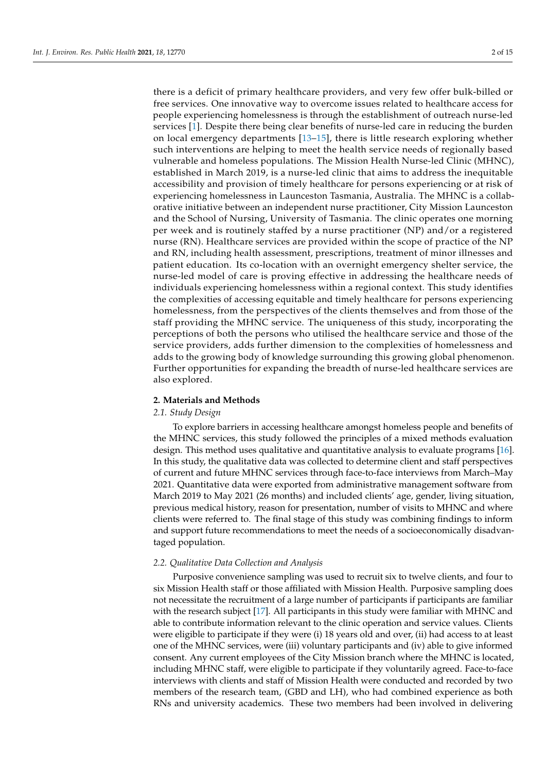there is a deficit of primary healthcare providers, and very few offer bulk-billed or free services. One innovative way to overcome issues related to healthcare access for people experiencing homelessness is through the establishment of outreach nurse-led services [\[1\]](#page-13-0). Despite there being clear benefits of nurse-led care in reducing the burden on local emergency departments [\[13](#page-13-11)[–15\]](#page-13-12), there is little research exploring whether such interventions are helping to meet the health service needs of regionally based vulnerable and homeless populations. The Mission Health Nurse-led Clinic (MHNC), established in March 2019, is a nurse-led clinic that aims to address the inequitable accessibility and provision of timely healthcare for persons experiencing or at risk of experiencing homelessness in Launceston Tasmania, Australia. The MHNC is a collaborative initiative between an independent nurse practitioner, City Mission Launceston and the School of Nursing, University of Tasmania. The clinic operates one morning per week and is routinely staffed by a nurse practitioner (NP) and/or a registered nurse (RN). Healthcare services are provided within the scope of practice of the NP and RN, including health assessment, prescriptions, treatment of minor illnesses and patient education. Its co-location with an overnight emergency shelter service, the nurse-led model of care is proving effective in addressing the healthcare needs of individuals experiencing homelessness within a regional context. This study identifies the complexities of accessing equitable and timely healthcare for persons experiencing homelessness, from the perspectives of the clients themselves and from those of the staff providing the MHNC service. The uniqueness of this study, incorporating the perceptions of both the persons who utilised the healthcare service and those of the service providers, adds further dimension to the complexities of homelessness and adds to the growing body of knowledge surrounding this growing global phenomenon. Further opportunities for expanding the breadth of nurse-led healthcare services are also explored.

#### **2. Materials and Methods**

#### *2.1. Study Design*

To explore barriers in accessing healthcare amongst homeless people and benefits of the MHNC services, this study followed the principles of a mixed methods evaluation design. This method uses qualitative and quantitative analysis to evaluate programs [\[16\]](#page-13-13). In this study, the qualitative data was collected to determine client and staff perspectives of current and future MHNC services through face-to-face interviews from March–May 2021. Quantitative data were exported from administrative management software from March 2019 to May 2021 (26 months) and included clients' age, gender, living situation, previous medical history, reason for presentation, number of visits to MHNC and where clients were referred to. The final stage of this study was combining findings to inform and support future recommendations to meet the needs of a socioeconomically disadvantaged population.

#### *2.2. Qualitative Data Collection and Analysis*

Purposive convenience sampling was used to recruit six to twelve clients, and four to six Mission Health staff or those affiliated with Mission Health. Purposive sampling does not necessitate the recruitment of a large number of participants if participants are familiar with the research subject [\[17\]](#page-13-14). All participants in this study were familiar with MHNC and able to contribute information relevant to the clinic operation and service values. Clients were eligible to participate if they were (i) 18 years old and over, (ii) had access to at least one of the MHNC services, were (iii) voluntary participants and (iv) able to give informed consent. Any current employees of the City Mission branch where the MHNC is located, including MHNC staff, were eligible to participate if they voluntarily agreed. Face-to-face interviews with clients and staff of Mission Health were conducted and recorded by two members of the research team, (GBD and LH), who had combined experience as both RNs and university academics. These two members had been involved in delivering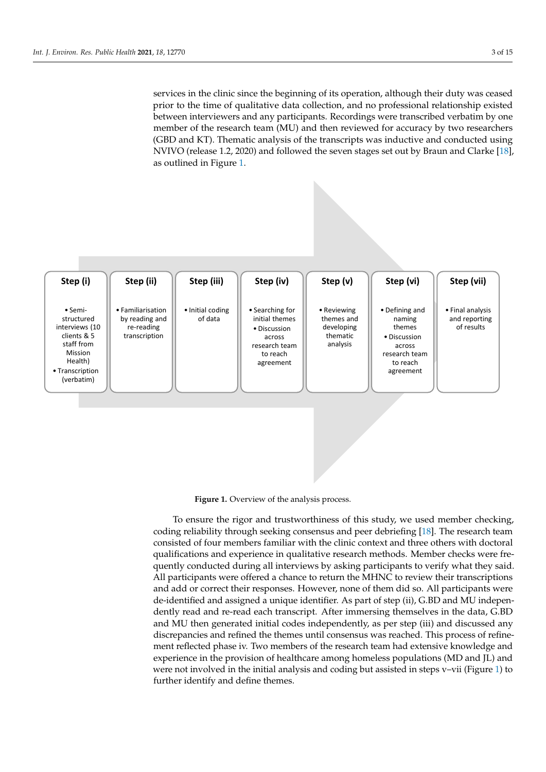services in the clinic since the beginning of its operation, although their duty was ceased prior to the time of qualitative data collection, and no professional relationship existed between interviewers and any participants. Recordings were transcribed verbatim by one member of the research team (MU) and then reviewed for accuracy by two researchers<br>(GBD and KT). Thematic analysis of the transmiste was inductive and conducted using (GBD and KT). Thematic analysis of the transcripts was inductive and conducted using NVIVO (release 1.2, 2020) and followed the seven stages set out by Braun and Clarke  $[18]$ , as out[lin](#page-2-0)ed in Figure 1.

<span id="page-2-0"></span>

**Figure 1.** Overview of the analysis process. **Figure 1.** Overview of the analysis process.

To ensure the rigor and trustworthiness of this study, we used member checking, coding reliability through seeking consensus and peer debriefing [\[18\]](#page-13-15). The research team consisted of four members familiar with the clinic context and three others with doctoral qualifications and experience in qualitative research methods. Member checks were frequently conducted during all interviews by asking participants to verify what they said. All participants were offered a chance to return the MHNC to review their transcriptions  $W_1$ de-identified and assigned a unique identifier. As part of step (ii), G.BD and MU independently read and re-read each transcript. After immersing themselves in the data, G.BD and MU then generated initial codes independently, as per step (iii) and discussed any discrepancies and refined the themes until consensus was reached. This process of refinement renected phase iv. Two members of the research team had extensive knowledge and<br>experience in the provision of healthcare among homeless populations (MD and JL) and were not involved in the initial analysis and coding but assisted in steps v–vii (Figure [1\)](#page-2-0) to further identify and define themes. The research team had extensive knowledge and team had extensive knowledge and team had extensive knowledge and team had extensive knowledge and team had extensive knowledge and team had To ensure the rigor and trustworthiness of this study, we used member checking, and add or correct their responses. However, none of them did so. All participants were ment reflected phase iv. Two members of the research team had extensive knowledge and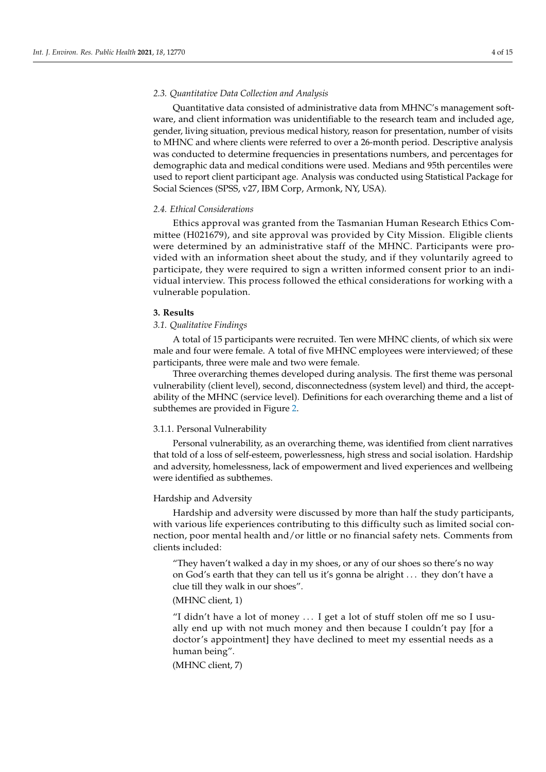# *2.3. Quantitative Data Collection and Analysis*

Quantitative data consisted of administrative data from MHNC's management software, and client information was unidentifiable to the research team and included age, gender, living situation, previous medical history, reason for presentation, number of visits to MHNC and where clients were referred to over a 26-month period. Descriptive analysis was conducted to determine frequencies in presentations numbers, and percentages for demographic data and medical conditions were used. Medians and 95th percentiles were used to report client participant age. Analysis was conducted using Statistical Package for Social Sciences (SPSS, v27, IBM Corp, Armonk, NY, USA).

#### *2.4. Ethical Considerations*

Ethics approval was granted from the Tasmanian Human Research Ethics Committee (H021679), and site approval was provided by City Mission. Eligible clients were determined by an administrative staff of the MHNC. Participants were provided with an information sheet about the study, and if they voluntarily agreed to participate, they were required to sign a written informed consent prior to an individual interview. This process followed the ethical considerations for working with a vulnerable population.

#### **3. Results**

# *3.1. Qualitative Findings*

A total of 15 participants were recruited. Ten were MHNC clients, of which six were male and four were female. A total of five MHNC employees were interviewed; of these participants, three were male and two were female.

Three overarching themes developed during analysis. The first theme was personal vulnerability (client level), second, disconnectedness (system level) and third, the acceptability of the MHNC (service level). Definitions for each overarching theme and a list of subthemes are provided in Figure [2.](#page-4-0)

# 3.1.1. Personal Vulnerability

Personal vulnerability, as an overarching theme, was identified from client narratives that told of a loss of self-esteem, powerlessness, high stress and social isolation. Hardship and adversity, homelessness, lack of empowerment and lived experiences and wellbeing were identified as subthemes.

# Hardship and Adversity

Hardship and adversity were discussed by more than half the study participants, with various life experiences contributing to this difficulty such as limited social connection, poor mental health and/or little or no financial safety nets. Comments from clients included:

"They haven't walked a day in my shoes, or any of our shoes so there's no way on God's earth that they can tell us it's gonna be alright . . . they don't have a clue till they walk in our shoes".

# (MHNC client, 1)

"I didn't have a lot of money . . . I get a lot of stuff stolen off me so I usually end up with not much money and then because I couldn't pay [for a doctor's appointment] they have declined to meet my essential needs as a human being".

(MHNC client, 7)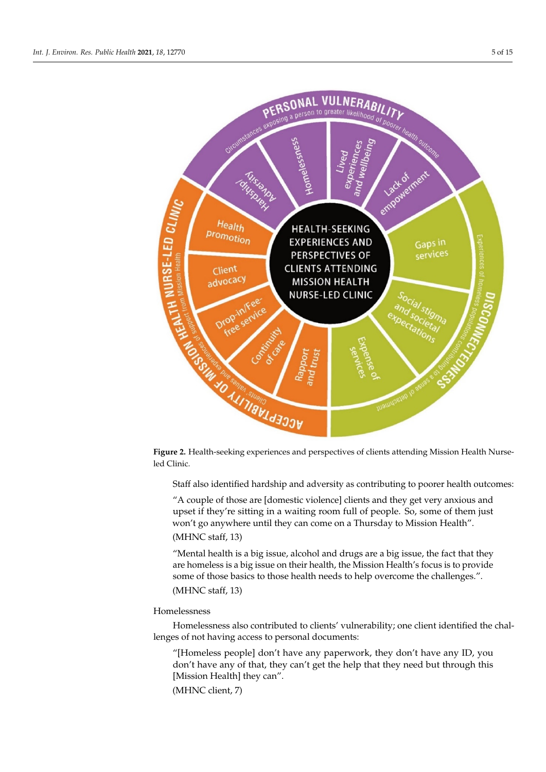<span id="page-4-0"></span>

subthemes are provided in Figure 2.



Staff also identified hardship and adversity as contributing to poorer health outcomes:

"A couple of those are [domestic violence] clients and they get very anxious and upset if they're sitting in a waiting room full of people. So, some of them just won't go anywhere until they can come on a Thursday to Mission Health".

# (MHNC staff, 13)

"Mental health is a big issue, alcohol and drugs are a big issue, the fact that they are homeless is a big issue on their health, the Mission Health's focus is to provide some of those basics to those health needs to help overcome the challenges.". (MHNC staff, 13)

# Homelessness

Homelessness also contributed to clients' vulnerability; one client identified the challenges of not having access to personal documents:

"[Homeless people] don't have any paperwork, they don't have any ID, you don't have any of that, they can't get the help that they need but through this [Mission Health] they can".

(MHNC client, 7)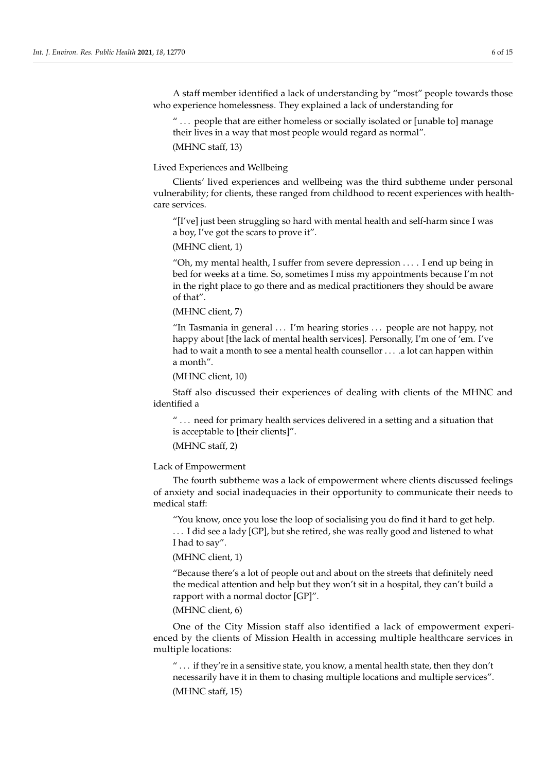A staff member identified a lack of understanding by "most" people towards those who experience homelessness. They explained a lack of understanding for

" . . . people that are either homeless or socially isolated or [unable to] manage their lives in a way that most people would regard as normal". (MHNC staff, 13)

Lived Experiences and Wellbeing

Clients' lived experiences and wellbeing was the third subtheme under personal vulnerability; for clients, these ranged from childhood to recent experiences with healthcare services.

"[I've] just been struggling so hard with mental health and self-harm since I was a boy, I've got the scars to prove it".

(MHNC client, 1)

"Oh, my mental health, I suffer from severe depression . . . . I end up being in bed for weeks at a time. So, sometimes I miss my appointments because I'm not in the right place to go there and as medical practitioners they should be aware of that".

(MHNC client, 7)

"In Tasmania in general . . . I'm hearing stories . . . people are not happy, not happy about [the lack of mental health services]. Personally, I'm one of 'em. I've had to wait a month to see a mental health counsellor . . . . . a lot can happen within a month".

(MHNC client, 10)

Staff also discussed their experiences of dealing with clients of the MHNC and identified a

" . . . need for primary health services delivered in a setting and a situation that is acceptable to [their clients]".

(MHNC staff, 2)

Lack of Empowerment

The fourth subtheme was a lack of empowerment where clients discussed feelings of anxiety and social inadequacies in their opportunity to communicate their needs to medical staff:

"You know, once you lose the loop of socialising you do find it hard to get help. . . . I did see a lady [GP], but she retired, she was really good and listened to what I had to say".

(MHNC client, 1)

"Because there's a lot of people out and about on the streets that definitely need the medical attention and help but they won't sit in a hospital, they can't build a rapport with a normal doctor [GP]".

(MHNC client, 6)

One of the City Mission staff also identified a lack of empowerment experienced by the clients of Mission Health in accessing multiple healthcare services in multiple locations:

" . . . if they're in a sensitive state, you know, a mental health state, then they don't necessarily have it in them to chasing multiple locations and multiple services".

(MHNC staff, 15)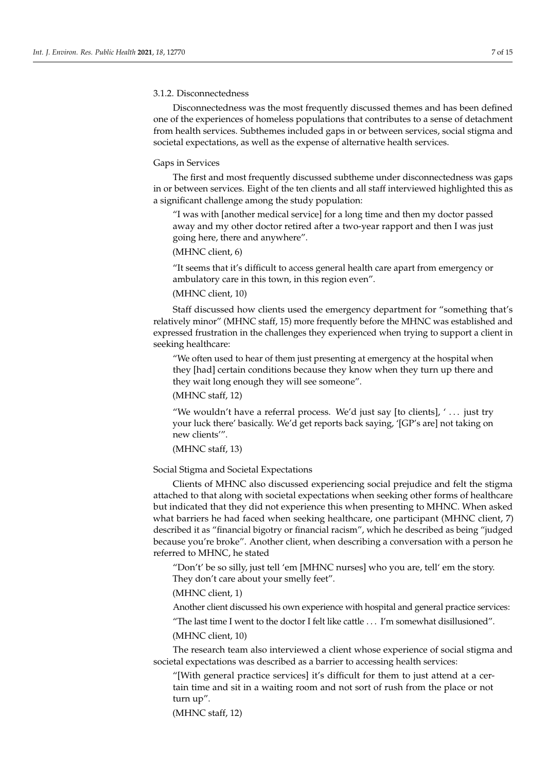#### 3.1.2. Disconnectedness

Disconnectedness was the most frequently discussed themes and has been defined one of the experiences of homeless populations that contributes to a sense of detachment from health services. Subthemes included gaps in or between services, social stigma and societal expectations, as well as the expense of alternative health services.

#### Gaps in Services

The first and most frequently discussed subtheme under disconnectedness was gaps in or between services. Eight of the ten clients and all staff interviewed highlighted this as a significant challenge among the study population:

"I was with [another medical service] for a long time and then my doctor passed away and my other doctor retired after a two-year rapport and then I was just going here, there and anywhere".

# (MHNC client, 6)

"It seems that it's difficult to access general health care apart from emergency or ambulatory care in this town, in this region even".

# (MHNC client, 10)

Staff discussed how clients used the emergency department for "something that's relatively minor" (MHNC staff, 15) more frequently before the MHNC was established and expressed frustration in the challenges they experienced when trying to support a client in seeking healthcare:

"We often used to hear of them just presenting at emergency at the hospital when they [had] certain conditions because they know when they turn up there and they wait long enough they will see someone".

# (MHNC staff, 12)

"We wouldn't have a referral process. We'd just say [to clients], '... just try your luck there' basically. We'd get reports back saying, '[GP's are] not taking on new clients'".

# (MHNC staff, 13)

#### Social Stigma and Societal Expectations

Clients of MHNC also discussed experiencing social prejudice and felt the stigma attached to that along with societal expectations when seeking other forms of healthcare but indicated that they did not experience this when presenting to MHNC. When asked what barriers he had faced when seeking healthcare, one participant (MHNC client, 7) described it as "financial bigotry or financial racism", which he described as being "judged because you're broke". Another client, when describing a conversation with a person he referred to MHNC, he stated

"Don't' be so silly, just tell 'em [MHNC nurses] who you are, tell' em the story. They don't care about your smelly feet".

### (MHNC client, 1)

Another client discussed his own experience with hospital and general practice services:

"The last time I went to the doctor I felt like cattle . . . I'm somewhat disillusioned".

# (MHNC client, 10)

The research team also interviewed a client whose experience of social stigma and societal expectations was described as a barrier to accessing health services:

"[With general practice services] it's difficult for them to just attend at a certain time and sit in a waiting room and not sort of rush from the place or not turn up".

(MHNC staff, 12)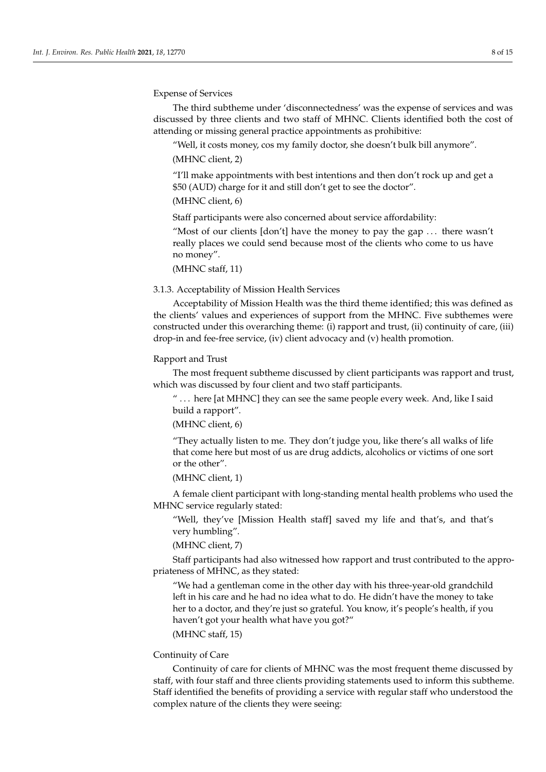Expense of Services

The third subtheme under 'disconnectedness' was the expense of services and was discussed by three clients and two staff of MHNC. Clients identified both the cost of attending or missing general practice appointments as prohibitive:

"Well, it costs money, cos my family doctor, she doesn't bulk bill anymore".

(MHNC client, 2)

"I'll make appointments with best intentions and then don't rock up and get a \$50 (AUD) charge for it and still don't get to see the doctor".

## (MHNC client, 6)

Staff participants were also concerned about service affordability:

"Most of our clients [don't] have the money to pay the gap ... there wasn't really places we could send because most of the clients who come to us have no money".

(MHNC staff, 11)

## 3.1.3. Acceptability of Mission Health Services

Acceptability of Mission Health was the third theme identified; this was defined as the clients' values and experiences of support from the MHNC. Five subthemes were constructed under this overarching theme: (i) rapport and trust, (ii) continuity of care, (iii) drop-in and fee-free service, (iv) client advocacy and (v) health promotion.

## Rapport and Trust

The most frequent subtheme discussed by client participants was rapport and trust, which was discussed by four client and two staff participants.

" . . . here [at MHNC] they can see the same people every week. And, like I said build a rapport".

(MHNC client, 6)

"They actually listen to me. They don't judge you, like there's all walks of life that come here but most of us are drug addicts, alcoholics or victims of one sort or the other".

#### (MHNC client, 1)

A female client participant with long-standing mental health problems who used the MHNC service regularly stated:

"Well, they've [Mission Health staff] saved my life and that's, and that's very humbling".

(MHNC client, 7)

Staff participants had also witnessed how rapport and trust contributed to the appropriateness of MHNC, as they stated:

"We had a gentleman come in the other day with his three-year-old grandchild left in his care and he had no idea what to do. He didn't have the money to take her to a doctor, and they're just so grateful. You know, it's people's health, if you haven't got your health what have you got?"

## (MHNC staff, 15)

# Continuity of Care

Continuity of care for clients of MHNC was the most frequent theme discussed by staff, with four staff and three clients providing statements used to inform this subtheme. Staff identified the benefits of providing a service with regular staff who understood the complex nature of the clients they were seeing: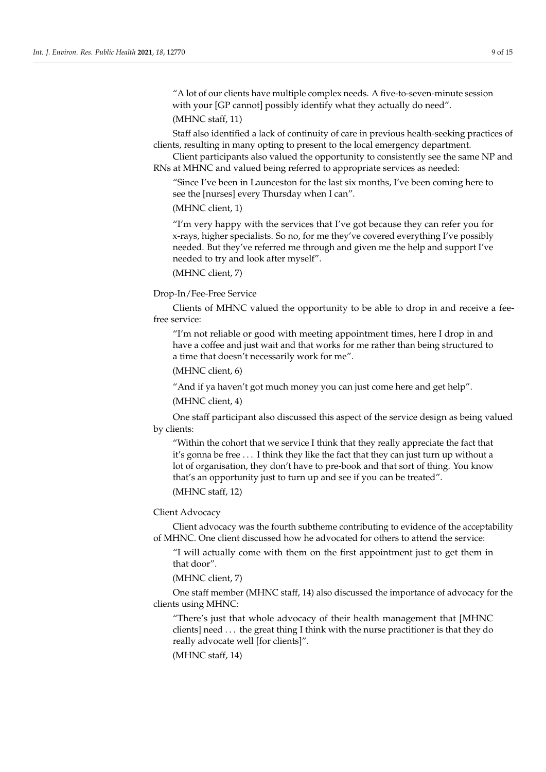"A lot of our clients have multiple complex needs. A five-to-seven-minute session with your [GP cannot] possibly identify what they actually do need".

# (MHNC staff, 11)

Staff also identified a lack of continuity of care in previous health-seeking practices of clients, resulting in many opting to present to the local emergency department.

Client participants also valued the opportunity to consistently see the same NP and RNs at MHNC and valued being referred to appropriate services as needed:

"Since I've been in Launceston for the last six months, I've been coming here to see the [nurses] every Thursday when I can".

(MHNC client, 1)

"I'm very happy with the services that I've got because they can refer you for x-rays, higher specialists. So no, for me they've covered everything I've possibly needed. But they've referred me through and given me the help and support I've needed to try and look after myself".

(MHNC client, 7)

# Drop-In/Fee-Free Service

Clients of MHNC valued the opportunity to be able to drop in and receive a feefree service:

"I'm not reliable or good with meeting appointment times, here I drop in and have a coffee and just wait and that works for me rather than being structured to a time that doesn't necessarily work for me".

(MHNC client, 6)

"And if ya haven't got much money you can just come here and get help".

(MHNC client, 4)

One staff participant also discussed this aspect of the service design as being valued by clients:

"Within the cohort that we service I think that they really appreciate the fact that it's gonna be free . . . I think they like the fact that they can just turn up without a lot of organisation, they don't have to pre-book and that sort of thing. You know that's an opportunity just to turn up and see if you can be treated". (MHNC staff, 12)

# Client Advocacy

Client advocacy was the fourth subtheme contributing to evidence of the acceptability of MHNC. One client discussed how he advocated for others to attend the service:

"I will actually come with them on the first appointment just to get them in that door".

(MHNC client, 7)

One staff member (MHNC staff, 14) also discussed the importance of advocacy for the clients using MHNC:

"There's just that whole advocacy of their health management that [MHNC clients] need . . . the great thing I think with the nurse practitioner is that they do really advocate well [for clients]".

(MHNC staff, 14)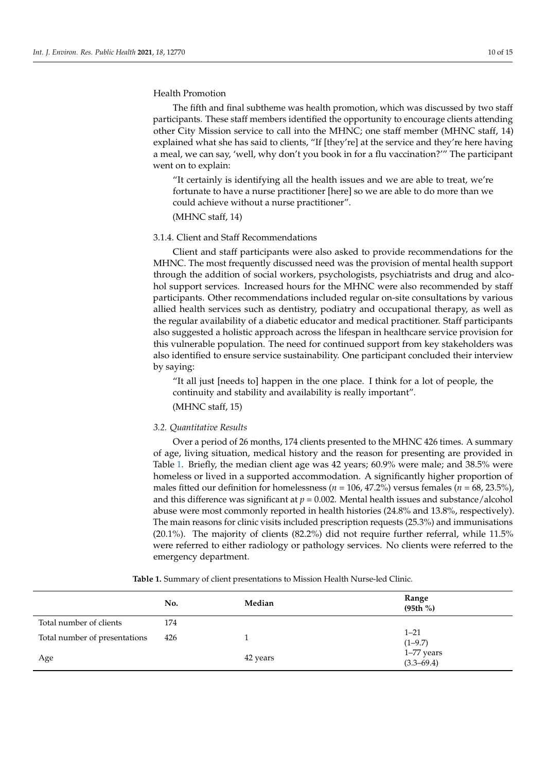# Health Promotion

The fifth and final subtheme was health promotion, which was discussed by two staff participants. These staff members identified the opportunity to encourage clients attending other City Mission service to call into the MHNC; one staff member (MHNC staff, 14) explained what she has said to clients, "If [they're] at the service and they're here having a meal, we can say, 'well, why don't you book in for a flu vaccination?'" The participant went on to explain:

"It certainly is identifying all the health issues and we are able to treat, we're fortunate to have a nurse practitioner [here] so we are able to do more than we could achieve without a nurse practitioner".

(MHNC staff, 14)

# 3.1.4. Client and Staff Recommendations

Client and staff participants were also asked to provide recommendations for the MHNC. The most frequently discussed need was the provision of mental health support through the addition of social workers, psychologists, psychiatrists and drug and alcohol support services. Increased hours for the MHNC were also recommended by staff participants. Other recommendations included regular on-site consultations by various allied health services such as dentistry, podiatry and occupational therapy, as well as the regular availability of a diabetic educator and medical practitioner. Staff participants also suggested a holistic approach across the lifespan in healthcare service provision for this vulnerable population. The need for continued support from key stakeholders was also identified to ensure service sustainability. One participant concluded their interview by saying:

"It all just [needs to] happen in the one place. I think for a lot of people, the continuity and stability and availability is really important". (MHNC staff, 15)

## *3.2. Quantitative Results*

Over a period of 26 months, 174 clients presented to the MHNC 426 times. A summary of age, living situation, medical history and the reason for presenting are provided in Table [1.](#page-10-0) Briefly, the median client age was 42 years; 60.9% were male; and 38.5% were homeless or lived in a supported accommodation. A significantly higher proportion of males fitted our definition for homelessness ( $n = 106, 47.2\%$ ) versus females ( $n = 68, 23.5\%$ ), and this difference was significant at  $p = 0.002$ . Mental health issues and substance/alcohol abuse were most commonly reported in health histories (24.8% and 13.8%, respectively). The main reasons for clinic visits included prescription requests (25.3%) and immunisations (20.1%). The majority of clients (82.2%) did not require further referral, while 11.5% were referred to either radiology or pathology services. No clients were referred to the emergency department.

|                               | No. | Median   | Range<br>(95th % )           |
|-------------------------------|-----|----------|------------------------------|
| Total number of clients       | 174 |          |                              |
| Total number of presentations | 426 |          | $1 - 21$<br>$(1-9.7)$        |
| Age                           |     | 42 years | 1-77 years<br>$(3.3 - 69.4)$ |

**Table 1.** Summary of client presentations to Mission Health Nurse-led Clinic.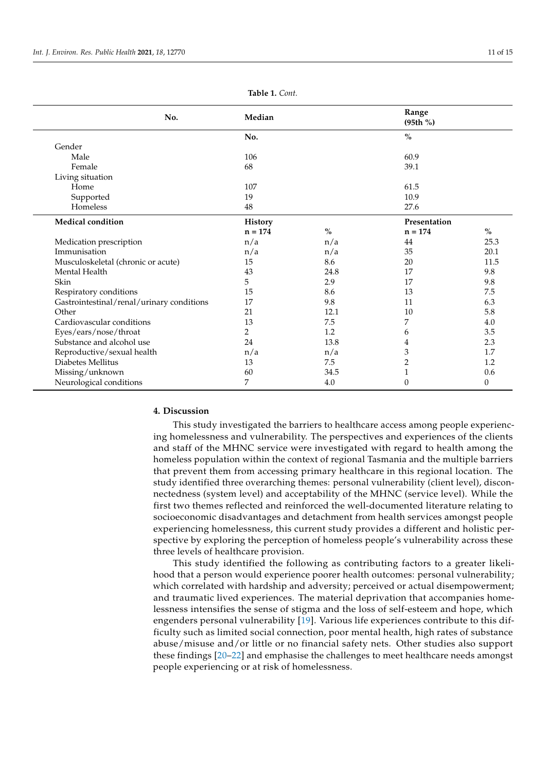<span id="page-10-0"></span>

| No.                                       | Median    |               | Range<br>(95th % ) |         |
|-------------------------------------------|-----------|---------------|--------------------|---------|
|                                           | No.       |               | $\%$               |         |
| Gender                                    |           |               |                    |         |
| Male                                      | 106       |               | 60.9               |         |
| Female                                    | 68        |               | 39.1               |         |
| Living situation                          |           |               |                    |         |
| Home                                      | 107       |               | 61.5               |         |
| Supported                                 | 19        |               | 10.9               |         |
| Homeless                                  | 48        |               | 27.6               |         |
| Medical condition                         | History   |               | Presentation       |         |
|                                           | $n = 174$ | $\frac{0}{0}$ | $n = 174$          | $\%$    |
| Medication prescription                   | n/a       | n/a           | 44                 | 25.3    |
| Immunisation                              | n/a       | n/a           | 35                 | 20.1    |
| Musculoskeletal (chronic or acute)        | 15        | 8.6           | 20                 | 11.5    |
| Mental Health                             | 43        | 24.8          | 17                 | 9.8     |
| Skin                                      | 5         | 2.9           | 17                 | 9.8     |
| Respiratory conditions                    | 15        | 8.6           | 13                 | 7.5     |
| Gastrointestinal/renal/urinary conditions | 17        | 9.8           | 11                 | 6.3     |
| Other                                     | 21        | 12.1          | 10                 | 5.8     |
| Cardiovascular conditions                 | 13        | $7.5\,$       | 7                  | $4.0\,$ |
| Eyes/ears/nose/throat                     | 2         | 1.2           | 6                  | 3.5     |
| Substance and alcohol use                 | 24        | 13.8          | 4                  | 2.3     |
| Reproductive/sexual health                | n/a       | n/a           | 3                  | 1.7     |
| Diabetes Mellitus                         | 13        | 7.5           | $\overline{2}$     | 1.2     |
| Missing/unknown                           | 60        | 34.5          | $\mathbf{1}$       | 0.6     |
| Neurological conditions                   | 7         | 4.0           | $\theta$           | 0       |

#### **Table 1.** *Cont.*

#### **4. Discussion**

This study investigated the barriers to healthcare access among people experiencing homelessness and vulnerability. The perspectives and experiences of the clients and staff of the MHNC service were investigated with regard to health among the homeless population within the context of regional Tasmania and the multiple barriers that prevent them from accessing primary healthcare in this regional location. The study identified three overarching themes: personal vulnerability (client level), disconnectedness (system level) and acceptability of the MHNC (service level). While the first two themes reflected and reinforced the well-documented literature relating to socioeconomic disadvantages and detachment from health services amongst people experiencing homelessness, this current study provides a different and holistic perspective by exploring the perception of homeless people's vulnerability across these three levels of healthcare provision.

This study identified the following as contributing factors to a greater likelihood that a person would experience poorer health outcomes: personal vulnerability; which correlated with hardship and adversity; perceived or actual disempowerment; and traumatic lived experiences. The material deprivation that accompanies homelessness intensifies the sense of stigma and the loss of self-esteem and hope, which engenders personal vulnerability [\[19\]](#page-13-16). Various life experiences contribute to this difficulty such as limited social connection, poor mental health, high rates of substance abuse/misuse and/or little or no financial safety nets. Other studies also support these findings [\[20](#page-13-17)[–22\]](#page-13-18) and emphasise the challenges to meet healthcare needs amongst people experiencing or at risk of homelessness.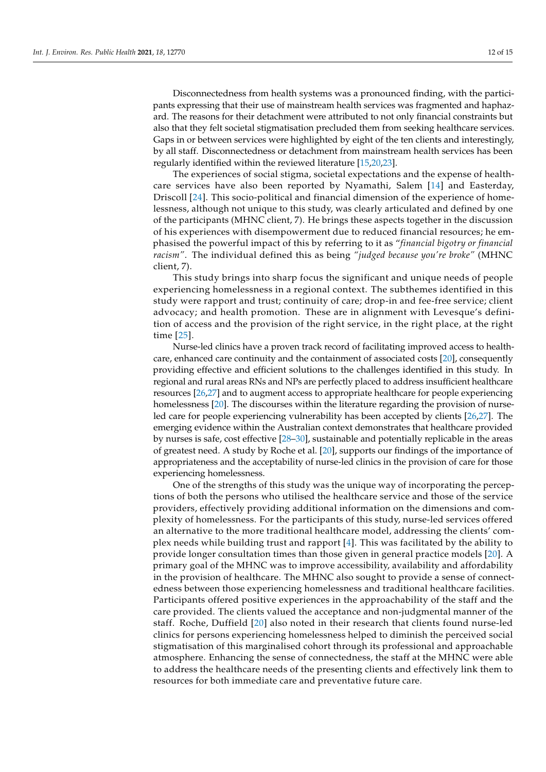Disconnectedness from health systems was a pronounced finding, with the participants expressing that their use of mainstream health services was fragmented and haphazard. The reasons for their detachment were attributed to not only financial constraints but also that they felt societal stigmatisation precluded them from seeking healthcare services. Gaps in or between services were highlighted by eight of the ten clients and interestingly, by all staff. Disconnectedness or detachment from mainstream health services has been regularly identified within the reviewed literature [\[15,](#page-13-12)[20,](#page-13-17)[23\]](#page-13-19).

The experiences of social stigma, societal expectations and the expense of healthcare services have also been reported by Nyamathi, Salem [\[14\]](#page-13-20) and Easterday, Driscoll [\[24\]](#page-13-21). This socio-political and financial dimension of the experience of homelessness, although not unique to this study, was clearly articulated and defined by one of the participants (MHNC client, 7). He brings these aspects together in the discussion of his experiences with disempowerment due to reduced financial resources; he emphasised the powerful impact of this by referring to it as "*financial bigotry or financial racism"*. The individual defined this as being *"judged because you're broke"* (MHNC client, 7).

This study brings into sharp focus the significant and unique needs of people experiencing homelessness in a regional context. The subthemes identified in this study were rapport and trust; continuity of care; drop-in and fee-free service; client advocacy; and health promotion. These are in alignment with Levesque's definition of access and the provision of the right service, in the right place, at the right time [\[25\]](#page-13-22).

Nurse-led clinics have a proven track record of facilitating improved access to healthcare, enhanced care continuity and the containment of associated costs [\[20\]](#page-13-17), consequently providing effective and efficient solutions to the challenges identified in this study. In regional and rural areas RNs and NPs are perfectly placed to address insufficient healthcare resources [\[26,](#page-13-23)[27\]](#page-13-24) and to augment access to appropriate healthcare for people experiencing homelessness [\[20\]](#page-13-17). The discourses within the literature regarding the provision of nurseled care for people experiencing vulnerability has been accepted by clients [\[26,](#page-13-23)[27\]](#page-13-24). The emerging evidence within the Australian context demonstrates that healthcare provided by nurses is safe, cost effective [\[28–](#page-13-25)[30\]](#page-14-0), sustainable and potentially replicable in the areas of greatest need. A study by Roche et al. [\[20\]](#page-13-17), supports our findings of the importance of appropriateness and the acceptability of nurse-led clinics in the provision of care for those experiencing homelessness.

One of the strengths of this study was the unique way of incorporating the perceptions of both the persons who utilised the healthcare service and those of the service providers, effectively providing additional information on the dimensions and complexity of homelessness. For the participants of this study, nurse-led services offered an alternative to the more traditional healthcare model, addressing the clients' complex needs while building trust and rapport [\[4\]](#page-13-2). This was facilitated by the ability to provide longer consultation times than those given in general practice models [\[20\]](#page-13-17). A primary goal of the MHNC was to improve accessibility, availability and affordability in the provision of healthcare. The MHNC also sought to provide a sense of connectedness between those experiencing homelessness and traditional healthcare facilities. Participants offered positive experiences in the approachability of the staff and the care provided. The clients valued the acceptance and non-judgmental manner of the staff. Roche, Duffield [\[20\]](#page-13-17) also noted in their research that clients found nurse-led clinics for persons experiencing homelessness helped to diminish the perceived social stigmatisation of this marginalised cohort through its professional and approachable atmosphere. Enhancing the sense of connectedness, the staff at the MHNC were able to address the healthcare needs of the presenting clients and effectively link them to resources for both immediate care and preventative future care.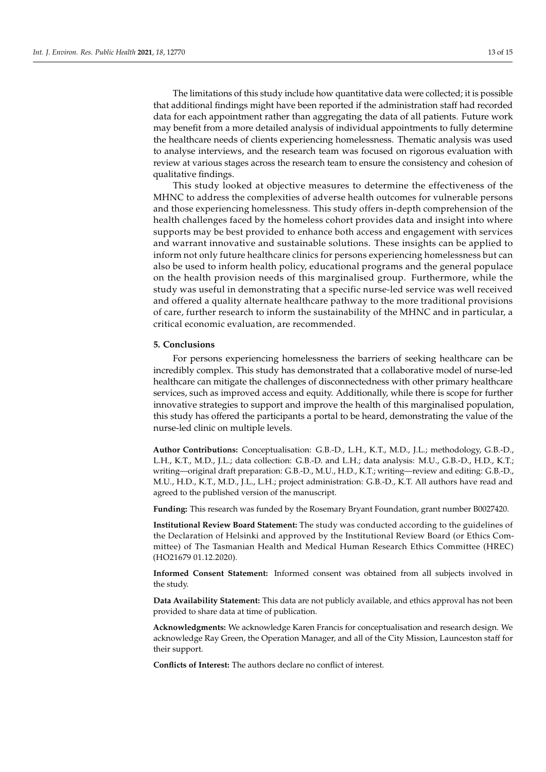The limitations of this study include how quantitative data were collected; it is possible that additional findings might have been reported if the administration staff had recorded data for each appointment rather than aggregating the data of all patients. Future work may benefit from a more detailed analysis of individual appointments to fully determine the healthcare needs of clients experiencing homelessness. Thematic analysis was used to analyse interviews, and the research team was focused on rigorous evaluation with review at various stages across the research team to ensure the consistency and cohesion of qualitative findings.

This study looked at objective measures to determine the effectiveness of the MHNC to address the complexities of adverse health outcomes for vulnerable persons and those experiencing homelessness. This study offers in-depth comprehension of the health challenges faced by the homeless cohort provides data and insight into where supports may be best provided to enhance both access and engagement with services and warrant innovative and sustainable solutions. These insights can be applied to inform not only future healthcare clinics for persons experiencing homelessness but can also be used to inform health policy, educational programs and the general populace on the health provision needs of this marginalised group. Furthermore, while the study was useful in demonstrating that a specific nurse-led service was well received and offered a quality alternate healthcare pathway to the more traditional provisions of care, further research to inform the sustainability of the MHNC and in particular, a critical economic evaluation, are recommended.

## **5. Conclusions**

For persons experiencing homelessness the barriers of seeking healthcare can be incredibly complex. This study has demonstrated that a collaborative model of nurse-led healthcare can mitigate the challenges of disconnectedness with other primary healthcare services, such as improved access and equity. Additionally, while there is scope for further innovative strategies to support and improve the health of this marginalised population, this study has offered the participants a portal to be heard, demonstrating the value of the nurse-led clinic on multiple levels.

**Author Contributions:** Conceptualisation: G.B.-D., L.H., K.T., M.D., J.L.; methodology, G.B.-D., L.H., K.T., M.D., J.L.; data collection: G.B.-D. and L.H.; data analysis: M.U., G.B.-D., H.D., K.T.; writing—original draft preparation: G.B.-D., M.U., H.D., K.T.; writing—review and editing: G.B.-D., M.U., H.D., K.T., M.D., J.L., L.H.; project administration: G.B.-D., K.T. All authors have read and agreed to the published version of the manuscript.

**Funding:** This research was funded by the Rosemary Bryant Foundation, grant number B0027420.

**Institutional Review Board Statement:** The study was conducted according to the guidelines of the Declaration of Helsinki and approved by the Institutional Review Board (or Ethics Committee) of The Tasmanian Health and Medical Human Research Ethics Committee (HREC) (HO21679 01.12.2020).

**Informed Consent Statement:** Informed consent was obtained from all subjects involved in the study.

**Data Availability Statement:** This data are not publicly available, and ethics approval has not been provided to share data at time of publication.

**Acknowledgments:** We acknowledge Karen Francis for conceptualisation and research design. We acknowledge Ray Green, the Operation Manager, and all of the City Mission, Launceston staff for their support.

**Conflicts of Interest:** The authors declare no conflict of interest.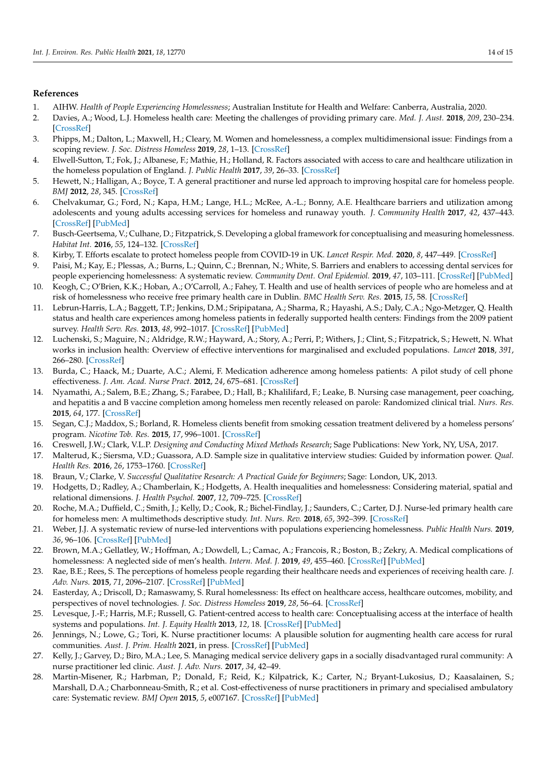# **References**

- <span id="page-13-0"></span>1. AIHW. *Health of People Experiencing Homelessness*; Australian Institute for Health and Welfare: Canberra, Australia, 2020.
- <span id="page-13-4"></span>2. Davies, A.; Wood, L.J. Homeless health care: Meeting the challenges of providing primary care. *Med. J. Aust.* **2018**, *209*, 230–234. [\[CrossRef\]](http://doi.org/10.5694/mja17.01264)
- <span id="page-13-1"></span>3. Phipps, M.; Dalton, L.; Maxwell, H.; Cleary, M. Women and homelessness, a complex multidimensional issue: Findings from a scoping review. *J. Soc. Distress Homeless* **2019**, *28*, 1–13. [\[CrossRef\]](http://doi.org/10.1080/10530789.2018.1534427)
- <span id="page-13-2"></span>4. Elwell-Sutton, T.; Fok, J.; Albanese, F.; Mathie, H.; Holland, R. Factors associated with access to care and healthcare utilization in the homeless population of England. *J. Public Health* **2017**, *39*, 26–33. [\[CrossRef\]](http://doi.org/10.1093/pubmed/fdw008)
- <span id="page-13-3"></span>5. Hewett, N.; Halligan, A.; Boyce, T. A general practitioner and nurse led approach to improving hospital care for homeless people. *BMJ* **2012**, *28*, 345. [\[CrossRef\]](http://doi.org/10.1136/bmj.e5999)
- <span id="page-13-5"></span>6. Chelvakumar, G.; Ford, N.; Kapa, H.M.; Lange, H.L.; McRee, A.-L.; Bonny, A.E. Healthcare barriers and utilization among adolescents and young adults accessing services for homeless and runaway youth. *J. Community Health* **2017**, *42*, 437–443. [\[CrossRef\]](http://doi.org/10.1007/s10900-016-0274-7) [\[PubMed\]](http://www.ncbi.nlm.nih.gov/pubmed/27817043)
- <span id="page-13-6"></span>7. Busch-Geertsema, V.; Culhane, D.; Fitzpatrick, S. Developing a global framework for conceptualising and measuring homelessness. *Habitat Int.* **2016**, *55*, 124–132. [\[CrossRef\]](http://doi.org/10.1016/j.habitatint.2016.03.004)
- <span id="page-13-7"></span>8. Kirby, T. Efforts escalate to protect homeless people from COVID-19 in UK. *Lancet Respir. Med.* **2020**, *8*, 447–449. [\[CrossRef\]](http://doi.org/10.1016/S2213-2600(20)30160-0)
- <span id="page-13-8"></span>9. Paisi, M.; Kay, E.; Plessas, A.; Burns, L.; Quinn, C.; Brennan, N.; White, S. Barriers and enablers to accessing dental services for people experiencing homelessness: A systematic review. *Community Dent. Oral Epidemiol.* **2019**, *47*, 103–111. [\[CrossRef\]](http://doi.org/10.1111/cdoe.12444) [\[PubMed\]](http://www.ncbi.nlm.nih.gov/pubmed/30614026)
- <span id="page-13-9"></span>10. Keogh, C.; O'Brien, K.K.; Hoban, A.; O'Carroll, A.; Fahey, T. Health and use of health services of people who are homeless and at risk of homelessness who receive free primary health care in Dublin. *BMC Health Serv. Res.* **2015**, *15*, 58. [\[CrossRef\]](http://doi.org/10.1186/s12913-015-0716-4)
- 11. Lebrun-Harris, L.A.; Baggett, T.P.; Jenkins, D.M.; Sripipatana, A.; Sharma, R.; Hayashi, A.S.; Daly, C.A.; Ngo-Metzger, Q. Health status and health care experiences among homeless patients in federally supported health centers: Findings from the 2009 patient survey. *Health Serv. Res.* **2013**, *48*, 992–1017. [\[CrossRef\]](http://doi.org/10.1111/1475-6773.12009) [\[PubMed\]](http://www.ncbi.nlm.nih.gov/pubmed/23134588)
- <span id="page-13-10"></span>12. Luchenski, S.; Maguire, N.; Aldridge, R.W.; Hayward, A.; Story, A.; Perri, P.; Withers, J.; Clint, S.; Fitzpatrick, S.; Hewett, N. What works in inclusion health: Overview of effective interventions for marginalised and excluded populations. *Lancet* **2018**, *391*, 266–280. [\[CrossRef\]](http://doi.org/10.1016/S0140-6736(17)31959-1)
- <span id="page-13-11"></span>13. Burda, C.; Haack, M.; Duarte, A.C.; Alemi, F. Medication adherence among homeless patients: A pilot study of cell phone effectiveness. *J. Am. Acad. Nurse Pract.* **2012**, *24*, 675–681. [\[CrossRef\]](http://doi.org/10.1111/j.1745-7599.2012.00756.x)
- <span id="page-13-20"></span>14. Nyamathi, A.; Salem, B.E.; Zhang, S.; Farabee, D.; Hall, B.; Khalilifard, F.; Leake, B. Nursing case management, peer coaching, and hepatitis a and B vaccine completion among homeless men recently released on parole: Randomized clinical trial. *Nurs. Res.* **2015**, *64*, 177. [\[CrossRef\]](http://doi.org/10.1097/NNR.0000000000000083)
- <span id="page-13-12"></span>15. Segan, C.J.; Maddox, S.; Borland, R. Homeless clients benefit from smoking cessation treatment delivered by a homeless persons' program. *Nicotine Tob. Res.* **2015**, *17*, 996–1001. [\[CrossRef\]](http://doi.org/10.1093/ntr/ntv062)
- <span id="page-13-13"></span>16. Creswell, J.W.; Clark, V.L.P. *Designing and Conducting Mixed Methods Research*; Sage Publications: New York, NY, USA, 2017.
- <span id="page-13-14"></span>17. Malterud, K.; Siersma, V.D.; Guassora, A.D. Sample size in qualitative interview studies: Guided by information power. *Qual. Health Res.* **2016**, *26*, 1753–1760. [\[CrossRef\]](http://doi.org/10.1177/1049732315617444)
- <span id="page-13-15"></span>18. Braun, V.; Clarke, V. *Successful Qualitative Research: A Practical Guide for Beginners*; Sage: London, UK, 2013.
- <span id="page-13-16"></span>19. Hodgetts, D.; Radley, A.; Chamberlain, K.; Hodgetts, A. Health inequalities and homelessness: Considering material, spatial and relational dimensions. *J. Health Psychol.* **2007**, *12*, 709–725. [\[CrossRef\]](http://doi.org/10.1177/1359105307080593)
- <span id="page-13-17"></span>20. Roche, M.A.; Duffield, C.; Smith, J.; Kelly, D.; Cook, R.; Bichel-Findlay, J.; Saunders, C.; Carter, D.J. Nurse-led primary health care for homeless men: A multimethods descriptive study. *Int. Nurs. Rev.* **2018**, *65*, 392–399. [\[CrossRef\]](http://doi.org/10.1111/inr.12419)
- 21. Weber, J.J. A systematic review of nurse-led interventions with populations experiencing homelessness. *Public Health Nurs.* **2019**, *36*, 96–106. [\[CrossRef\]](http://doi.org/10.1111/phn.12552) [\[PubMed\]](http://www.ncbi.nlm.nih.gov/pubmed/30353565)
- <span id="page-13-18"></span>22. Brown, M.A.; Gellatley, W.; Hoffman, A.; Dowdell, L.; Camac, A.; Francois, R.; Boston, B.; Zekry, A. Medical complications of homelessness: A neglected side of men's health. *Intern. Med. J.* **2019**, *49*, 455–460. [\[CrossRef\]](http://doi.org/10.1111/imj.14139) [\[PubMed\]](http://www.ncbi.nlm.nih.gov/pubmed/30324639)
- <span id="page-13-19"></span>23. Rae, B.E.; Rees, S. The perceptions of homeless people regarding their healthcare needs and experiences of receiving health care. *J. Adv. Nurs.* **2015**, *71*, 2096–2107. [\[CrossRef\]](http://doi.org/10.1111/jan.12675) [\[PubMed\]](http://www.ncbi.nlm.nih.gov/pubmed/25916241)
- <span id="page-13-21"></span>24. Easterday, A.; Driscoll, D.; Ramaswamy, S. Rural homelessness: Its effect on healthcare access, healthcare outcomes, mobility, and perspectives of novel technologies. *J. Soc. Distress Homeless* **2019**, *28*, 56–64. [\[CrossRef\]](http://doi.org/10.1080/10530789.2019.1567978)
- <span id="page-13-22"></span>25. Levesque, J.-F.; Harris, M.F.; Russell, G. Patient-centred access to health care: Conceptualising access at the interface of health systems and populations. *Int. J. Equity Health* **2013**, *12*, 18. [\[CrossRef\]](http://doi.org/10.1186/1475-9276-12-18) [\[PubMed\]](http://www.ncbi.nlm.nih.gov/pubmed/23496984)
- <span id="page-13-23"></span>26. Jennings, N.; Lowe, G.; Tori, K. Nurse practitioner locums: A plausible solution for augmenting health care access for rural communities. *Aust. J. Prim. Health* **2021**, in press. [\[CrossRef\]](http://doi.org/10.1071/PY20103) [\[PubMed\]](http://www.ncbi.nlm.nih.gov/pubmed/33508211)
- <span id="page-13-24"></span>27. Kelly, J.; Garvey, D.; Biro, M.A.; Lee, S. Managing medical service delivery gaps in a socially disadvantaged rural community: A nurse practitioner led clinic. *Aust. J. Adv. Nurs.* **2017**, *34*, 42–49.
- <span id="page-13-25"></span>28. Martin-Misener, R.; Harbman, P.; Donald, F.; Reid, K.; Kilpatrick, K.; Carter, N.; Bryant-Lukosius, D.; Kaasalainen, S.; Marshall, D.A.; Charbonneau-Smith, R.; et al. Cost-effectiveness of nurse practitioners in primary and specialised ambulatory care: Systematic review. *BMJ Open* **2015**, *5*, e007167. [\[CrossRef\]](http://doi.org/10.1136/bmjopen-2014-007167) [\[PubMed\]](http://www.ncbi.nlm.nih.gov/pubmed/26056121)